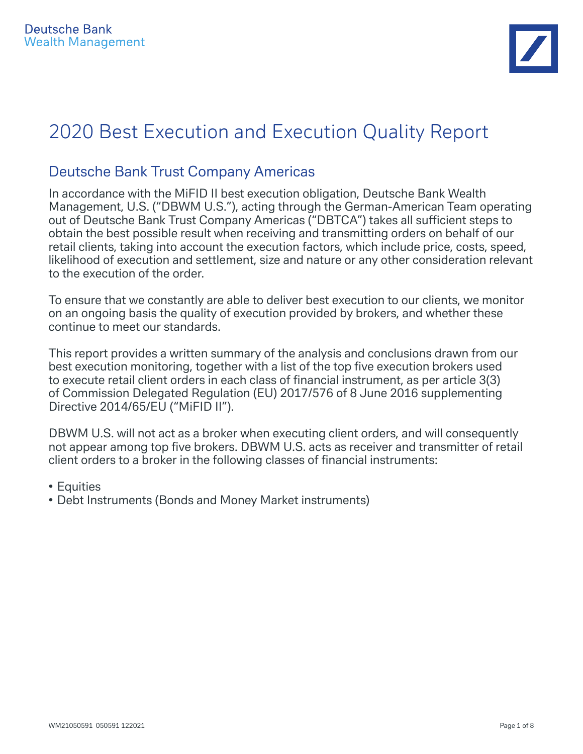

# 2020 Best Execution and Execution Quality Report

## Deutsche Bank Trust Company Americas

In accordance with the MiFID II best execution obligation, Deutsche Bank Wealth Management, U.S. ("DBWM U.S."), acting through the German-American Team operating out of Deutsche Bank Trust Company Americas ("DBTCA") takes all sufficient steps to obtain the best possible result when receiving and transmitting orders on behalf of our retail clients, taking into account the execution factors, which include price, costs, speed, likelihood of execution and settlement, size and nature or any other consideration relevant to the execution of the order.

To ensure that we constantly are able to deliver best execution to our clients, we monitor on an ongoing basis the quality of execution provided by brokers, and whether these continue to meet our standards.

This report provides a written summary of the analysis and conclusions drawn from our best execution monitoring, together with a list of the top five execution brokers used to execute retail client orders in each class of financial instrument, as per article 3(3) of Commission Delegated Regulation (EU) 2017/576 of 8 June 2016 supplementing Directive 2014/65/EU ("MiFID II").

DBWM U.S. will not act as a broker when executing client orders, and will consequently not appear among top five brokers. DBWM U.S. acts as receiver and transmitter of retail client orders to a broker in the following classes of financial instruments:

- Equities
- Debt Instruments (Bonds and Money Market instruments)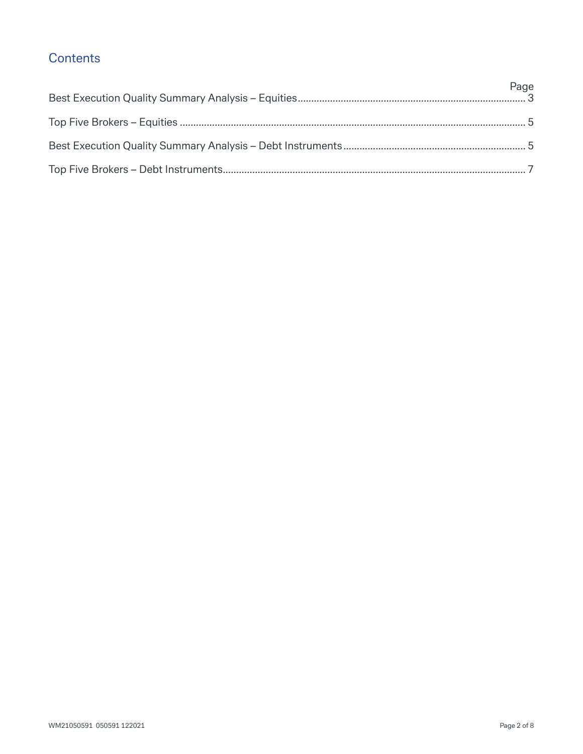## **Contents**

| Page |
|------|
|      |
|      |
|      |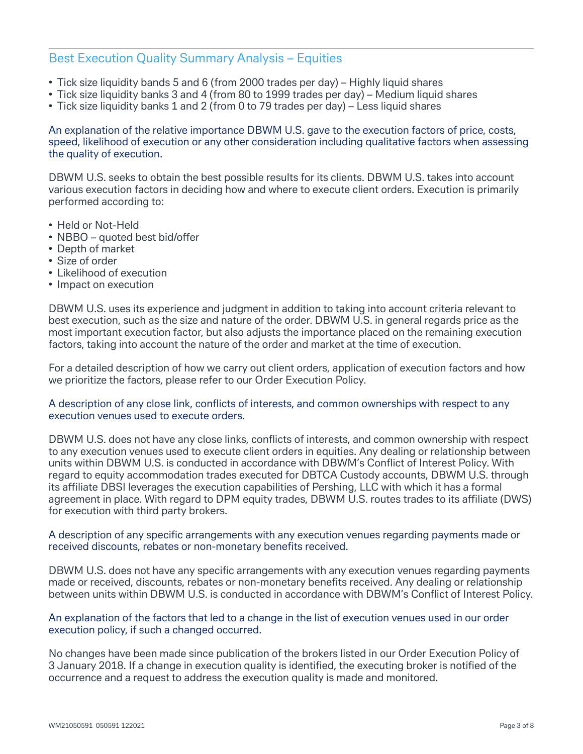## Best Execution Quality Summary Analysis – Equities

- Tick size liquidity bands 5 and 6 (from 2000 trades per day) Highly liquid shares
- Tick size liquidity banks 3 and 4 (from 80 to 1999 trades per day) Medium liquid shares
- Tick size liquidity banks 1 and 2 (from 0 to 79 trades per day) Less liquid shares

An explanation of the relative importance DBWM U.S. gave to the execution factors of price, costs, speed, likelihood of execution or any other consideration including qualitative factors when assessing the quality of execution.

DBWM U.S. seeks to obtain the best possible results for its clients. DBWM U.S. takes into account various execution factors in deciding how and where to execute client orders. Execution is primarily performed according to:

- Held or Not-Held
- NBBO quoted best bid/offer
- Depth of market
- Size of order
- Likelihood of execution
- Impact on execution

DBWM U.S. uses its experience and judgment in addition to taking into account criteria relevant to best execution, such as the size and nature of the order. DBWM U.S. in general regards price as the most important execution factor, but also adjusts the importance placed on the remaining execution factors, taking into account the nature of the order and market at the time of execution.

For a detailed description of how we carry out client orders, application of execution factors and how we prioritize the factors, please refer to our Order Execution Policy.

#### A description of any close link, conflicts of interests, and common ownerships with respect to any execution venues used to execute orders.

DBWM U.S. does not have any close links, conflicts of interests, and common ownership with respect to any execution venues used to execute client orders in equities. Any dealing or relationship between units within DBWM U.S. is conducted in accordance with DBWM's Conflict of Interest Policy. With regard to equity accommodation trades executed for DBTCA Custody accounts, DBWM U.S. through its affiliate DBSI leverages the execution capabilities of Pershing, LLC with which it has a formal agreement in place. With regard to DPM equity trades, DBWM U.S. routes trades to its affiliate (DWS) for execution with third party brokers.

#### A description of any specific arrangements with any execution venues regarding payments made or received discounts, rebates or non-monetary benefits received.

DBWM U.S. does not have any specific arrangements with any execution venues regarding payments made or received, discounts, rebates or non-monetary benefits received. Any dealing or relationship between units within DBWM U.S. is conducted in accordance with DBWM's Conflict of Interest Policy.

#### An explanation of the factors that led to a change in the list of execution venues used in our order execution policy, if such a changed occurred.

No changes have been made since publication of the brokers listed in our Order Execution Policy of 3 January 2018. If a change in execution quality is identified, the executing broker is notified of the occurrence and a request to address the execution quality is made and monitored.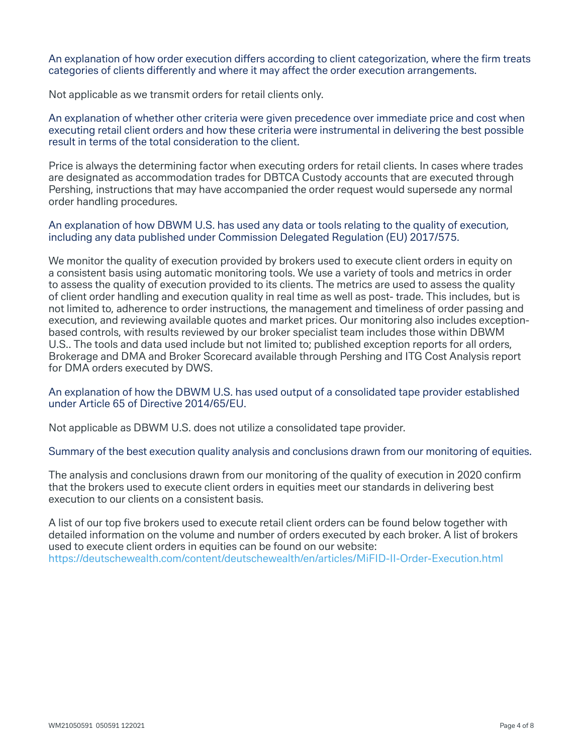An explanation of how order execution differs according to client categorization, where the firm treats categories of clients differently and where it may affect the order execution arrangements.

Not applicable as we transmit orders for retail clients only.

An explanation of whether other criteria were given precedence over immediate price and cost when executing retail client orders and how these criteria were instrumental in delivering the best possible result in terms of the total consideration to the client.

Price is always the determining factor when executing orders for retail clients. In cases where trades are designated as accommodation trades for DBTCA Custody accounts that are executed through Pershing, instructions that may have accompanied the order request would supersede any normal order handling procedures.

An explanation of how DBWM U.S. has used any data or tools relating to the quality of execution, including any data published under Commission Delegated Regulation (EU) 2017/575.

We monitor the quality of execution provided by brokers used to execute client orders in equity on a consistent basis using automatic monitoring tools. We use a variety of tools and metrics in order to assess the quality of execution provided to its clients. The metrics are used to assess the quality of client order handling and execution quality in real time as well as post- trade. This includes, but is not limited to, adherence to order instructions, the management and timeliness of order passing and execution, and reviewing available quotes and market prices. Our monitoring also includes exceptionbased controls, with results reviewed by our broker specialist team includes those within DBWM U.S.. The tools and data used include but not limited to; published exception reports for all orders, Brokerage and DMA and Broker Scorecard available through Pershing and ITG Cost Analysis report for DMA orders executed by DWS.

#### An explanation of how the DBWM U.S. has used output of a consolidated tape provider established under Article 65 of Directive 2014/65/EU.

Not applicable as DBWM U.S. does not utilize a consolidated tape provider.

#### Summary of the best execution quality analysis and conclusions drawn from our monitoring of equities.

The analysis and conclusions drawn from our monitoring of the quality of execution in 2020 confirm that the brokers used to execute client orders in equities meet our standards in delivering best execution to our clients on a consistent basis.

A list of our top five brokers used to execute retail client orders can be found below together with detailed information on the volume and number of orders executed by each broker. A list of brokers used to execute client orders in equities can be found on our website: https://deutschewealth.com/content/deutschewealth/en/articles/MiFID-II-Order-Execution.html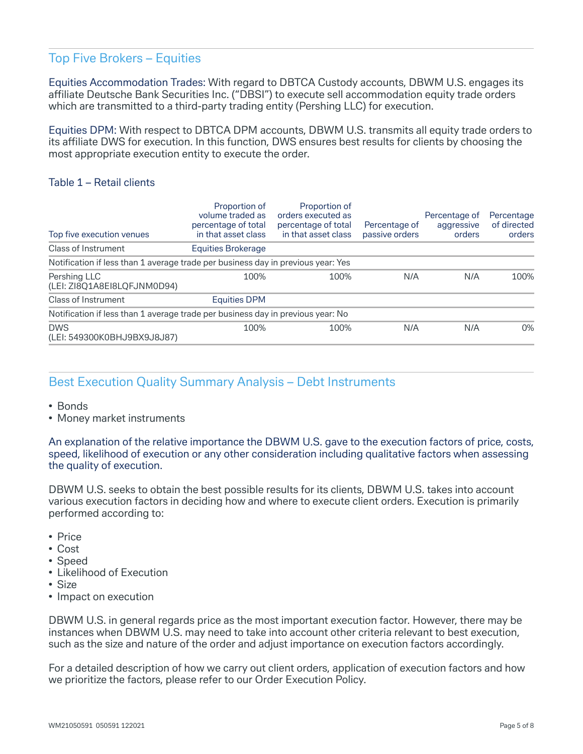## Top Five Brokers – Equities

Equities Accommodation Trades: With regard to DBTCA Custody accounts, DBWM U.S. engages its affiliate Deutsche Bank Securities Inc. ("DBSI") to execute sell accommodation equity trade orders which are transmitted to a third-party trading entity (Pershing LLC) for execution.

Equities DPM: With respect to DBTCA DPM accounts, DBWM U.S. transmits all equity trade orders to its affiliate DWS for execution. In this function, DWS ensures best results for clients by choosing the most appropriate execution entity to execute the order.

#### Table 1 – Retail clients

| Top five execution venues                                                        | Proportion of<br>volume traded as<br>percentage of total<br>in that asset class | Proportion of<br>orders executed as<br>percentage of total<br>in that asset class | Percentage of<br>passive orders | Percentage of<br>aggressive<br>orders | Percentage<br>of directed<br>orders |
|----------------------------------------------------------------------------------|---------------------------------------------------------------------------------|-----------------------------------------------------------------------------------|---------------------------------|---------------------------------------|-------------------------------------|
| Class of Instrument                                                              | Equities Brokerage                                                              |                                                                                   |                                 |                                       |                                     |
| Notification if less than 1 average trade per business day in previous year: Yes |                                                                                 |                                                                                   |                                 |                                       |                                     |
| Pershing LLC<br>(LEI: ZI8Q1A8EI8LQFJNM0D94)                                      | 100%                                                                            | 100%                                                                              | N/A                             | N/A                                   | 100%                                |
| Class of Instrument                                                              | <b>Equities DPM</b>                                                             |                                                                                   |                                 |                                       |                                     |
| Notification if less than 1 average trade per business day in previous year: No  |                                                                                 |                                                                                   |                                 |                                       |                                     |
| <b>DWS</b><br>(LEI: 549300K0BHJ9BX9J8J87)                                        | 100%                                                                            | 100%                                                                              | N/A                             | N/A                                   | $0\%$                               |

## Best Execution Quality Summary Analysis – Debt Instruments

- Bonds
- Money market instruments

An explanation of the relative importance the DBWM U.S. gave to the execution factors of price, costs, speed, likelihood of execution or any other consideration including qualitative factors when assessing the quality of execution.

DBWM U.S. seeks to obtain the best possible results for its clients, DBWM U.S. takes into account various execution factors in deciding how and where to execute client orders. Execution is primarily performed according to:

- Price
- Cost
- Speed
- Likelihood of Execution
- Size
- Impact on execution

DBWM U.S. in general regards price as the most important execution factor. However, there may be instances when DBWM U.S. may need to take into account other criteria relevant to best execution, such as the size and nature of the order and adjust importance on execution factors accordingly.

For a detailed description of how we carry out client orders, application of execution factors and how we prioritize the factors, please refer to our Order Execution Policy.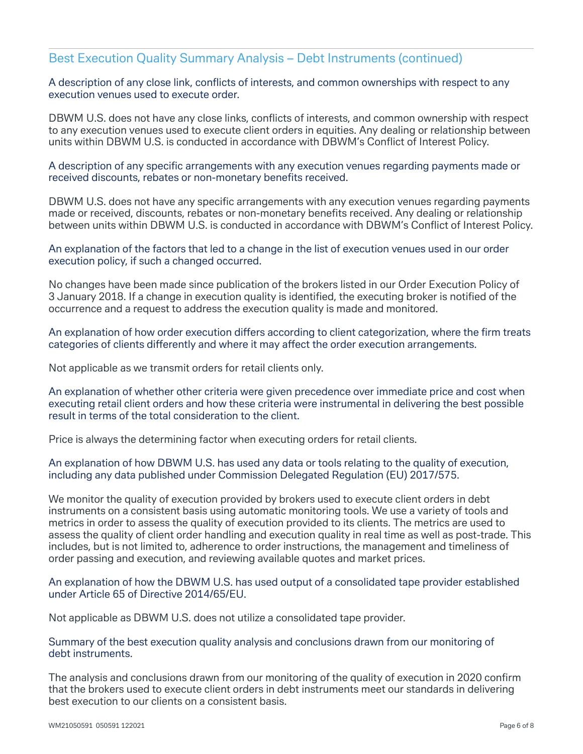### Best Execution Quality Summary Analysis – Debt Instruments (continued)

A description of any close link, conflicts of interests, and common ownerships with respect to any execution venues used to execute order.

DBWM U.S. does not have any close links, conflicts of interests, and common ownership with respect to any execution venues used to execute client orders in equities. Any dealing or relationship between units within DBWM U.S. is conducted in accordance with DBWM's Conflict of Interest Policy.

A description of any specific arrangements with any execution venues regarding payments made or received discounts, rebates or non-monetary benefits received.

DBWM U.S. does not have any specific arrangements with any execution venues regarding payments made or received, discounts, rebates or non-monetary benefits received. Any dealing or relationship between units within DBWM U.S. is conducted in accordance with DBWM's Conflict of Interest Policy.

An explanation of the factors that led to a change in the list of execution venues used in our order execution policy, if such a changed occurred.

No changes have been made since publication of the brokers listed in our Order Execution Policy of 3 January 2018. If a change in execution quality is identified, the executing broker is notified of the occurrence and a request to address the execution quality is made and monitored.

An explanation of how order execution differs according to client categorization, where the firm treats categories of clients differently and where it may affect the order execution arrangements.

Not applicable as we transmit orders for retail clients only.

An explanation of whether other criteria were given precedence over immediate price and cost when executing retail client orders and how these criteria were instrumental in delivering the best possible result in terms of the total consideration to the client.

Price is always the determining factor when executing orders for retail clients.

An explanation of how DBWM U.S. has used any data or tools relating to the quality of execution, including any data published under Commission Delegated Regulation (EU) 2017/575.

We monitor the quality of execution provided by brokers used to execute client orders in debt instruments on a consistent basis using automatic monitoring tools. We use a variety of tools and metrics in order to assess the quality of execution provided to its clients. The metrics are used to assess the quality of client order handling and execution quality in real time as well as post-trade. This includes, but is not limited to, adherence to order instructions, the management and timeliness of order passing and execution, and reviewing available quotes and market prices.

An explanation of how the DBWM U.S. has used output of a consolidated tape provider established under Article 65 of Directive 2014/65/EU.

Not applicable as DBWM U.S. does not utilize a consolidated tape provider.

Summary of the best execution quality analysis and conclusions drawn from our monitoring of debt instruments.

The analysis and conclusions drawn from our monitoring of the quality of execution in 2020 confirm that the brokers used to execute client orders in debt instruments meet our standards in delivering best execution to our clients on a consistent basis.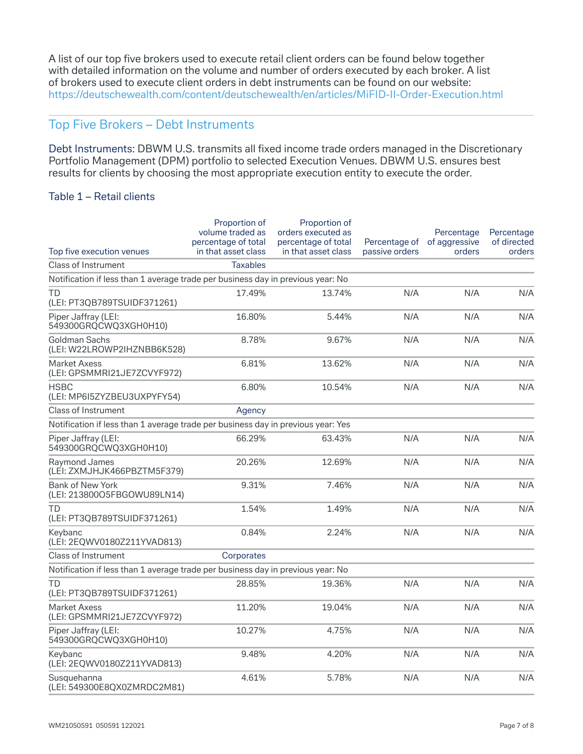A list of our top five brokers used to execute retail client orders can be found below together with detailed information on the volume and number of orders executed by each broker. A list of brokers used to execute client orders in debt instruments can be found on our website: https://deutschewealth.com/content/deutschewealth/en/articles/MiFID-II-Order-Execution.html

## Top Five Brokers – Debt Instruments

Debt Instruments: DBWM U.S. transmits all fixed income trade orders managed in the Discretionary Portfolio Management (DPM) portfolio to selected Execution Venues. DBWM U.S. ensures best results for clients by choosing the most appropriate execution entity to execute the order.

#### Table 1 – Retail clients

|                                                                                  | Proportion of<br>volume traded as          | Proportion of<br>orders executed as<br>percentage of total |                                 | Percentage              | Percentage<br>of directed |
|----------------------------------------------------------------------------------|--------------------------------------------|------------------------------------------------------------|---------------------------------|-------------------------|---------------------------|
| Top five execution venues                                                        | percentage of total<br>in that asset class | in that asset class                                        | Percentage of<br>passive orders | of aggressive<br>orders | orders                    |
| <b>Class of Instrument</b>                                                       | <b>Taxables</b>                            |                                                            |                                 |                         |                           |
| Notification if less than 1 average trade per business day in previous year: No  |                                            |                                                            |                                 |                         |                           |
| TD<br>(LEI: PT3QB789TSUIDF371261)                                                | 17.49%                                     | 13.74%                                                     | N/A                             | N/A                     | N/A                       |
| Piper Jaffray (LEI:<br>549300GRQCWQ3XGH0H10)                                     | 16.80%                                     | 5.44%                                                      | N/A                             | N/A                     | N/A                       |
| Goldman Sachs<br>(LEI: W22LROWP2IHZNBB6K528)                                     | 8.78%                                      | 9.67%                                                      | N/A                             | N/A                     | N/A                       |
| <b>Market Axess</b><br>(LEI: GPSMMRI21JE7ZCVYF972)                               | 6.81%                                      | 13.62%                                                     | N/A                             | N/A                     | N/A                       |
| <b>HSBC</b><br>(LEI: MP6I5ZYZBEU3UXPYFY54)                                       | 6.80%                                      | 10.54%                                                     | N/A                             | N/A                     | N/A                       |
| <b>Class of Instrument</b>                                                       | Agency                                     |                                                            |                                 |                         |                           |
| Notification if less than 1 average trade per business day in previous year: Yes |                                            |                                                            |                                 |                         |                           |
| Piper Jaffray (LEI:<br>549300GRQCWQ3XGH0H10)                                     | 66.29%                                     | 63.43%                                                     | N/A                             | N/A                     | N/A                       |
| Raymond James<br>(LEI: ZXMJHJK466PBZTM5F379)                                     | 20.26%                                     | 12.69%                                                     | N/A                             | N/A                     | N/A                       |
| <b>Bank of New York</b><br>(LEI: 21380005FBGOWU89LN14)                           | 9.31%                                      | 7.46%                                                      | N/A                             | N/A                     | N/A                       |
| TD<br>(LEI: PT3QB789TSUIDF371261)                                                | 1.54%                                      | 1.49%                                                      | N/A                             | N/A                     | N/A                       |
| Keybanc<br>(LEI: 2EQWV0180Z211YVAD813)                                           | 0.84%                                      | 2.24%                                                      | N/A                             | N/A                     | N/A                       |
| Class of Instrument                                                              | Corporates                                 |                                                            |                                 |                         |                           |
| Notification if less than 1 average trade per business day in previous year: No  |                                            |                                                            |                                 |                         |                           |
| TD<br>(LEI: PT3QB789TSUIDF371261)                                                | 28.85%                                     | 19.36%                                                     | N/A                             | N/A                     | N/A                       |
| <b>Market Axess</b><br>(LEI: GPSMMRI21JE7ZCVYF972)                               | 11.20%                                     | 19.04%                                                     | N/A                             | N/A                     | N/A                       |
| Piper Jaffray (LEI:<br>549300GRQCWQ3XGH0H10)                                     | 10.27%                                     | 4.75%                                                      | N/A                             | N/A                     | N/A                       |
| Keybanc<br>(LEI: 2EQWV0180Z211YVAD813)                                           | 9.48%                                      | 4.20%                                                      | N/A                             | N/A                     | N/A                       |
| Susquehanna<br>(LEI: 549300E8QX0ZMRDC2M81)                                       | 4.61%                                      | 5.78%                                                      | N/A                             | N/A                     | N/A                       |